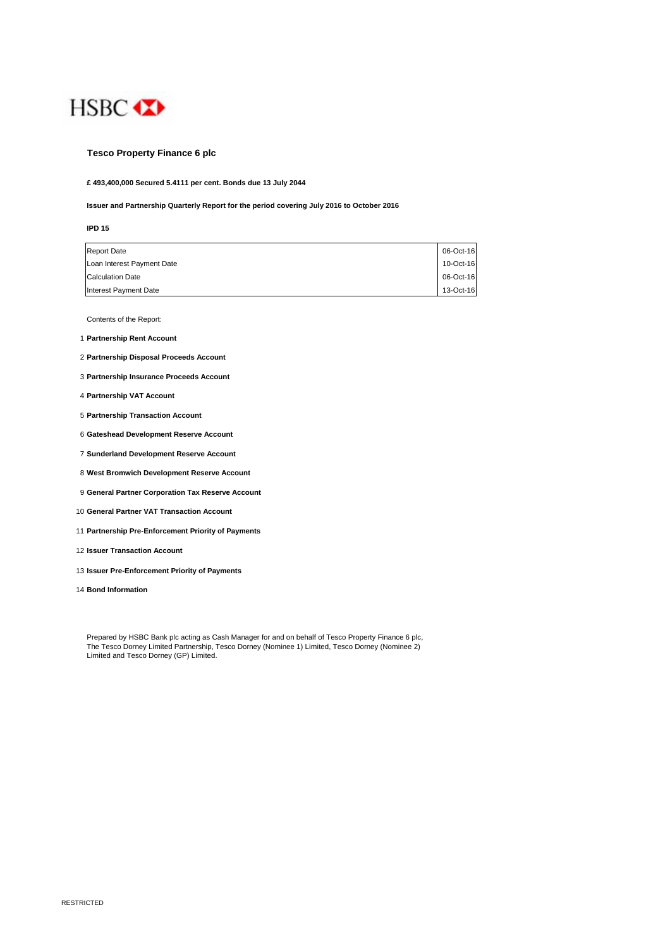

# **Tesco Property Finance 6 plc**

**£ 493,400,000 Secured 5.4111 per cent. Bonds due 13 July 2044**

#### **Issuer and Partnership Quarterly Report for the period covering July 2016 to October 2016**

| I | ×  |
|---|----|
|   | ۰. |

| <b>Report Date</b>         | 06-Oct-16 |
|----------------------------|-----------|
| Loan Interest Payment Date | 10-Oct-16 |
| <b>Calculation Date</b>    | 06-Oct-16 |
| Interest Payment Date      | 13-Oct-16 |

Contents of the Report:

- 1 **Partnership Rent Account**
- 2 **Partnership Disposal Proceeds Account**
- 3 **Partnership Insurance Proceeds Account**
- 4 **Partnership VAT Account**
- 5 **Partnership Transaction Account**
- 6 **Gateshead Development Reserve Account**
- 7 **Sunderland Development Reserve Account**
- 8 **West Bromwich Development Reserve Account**
- 9 **General Partner Corporation Tax Reserve Account**
- 10 **General Partner VAT Transaction Account**
- 11 **Partnership Pre-Enforcement Priority of Payments**
- 12 **Issuer Transaction Account**
- 13 **Issuer Pre-Enforcement Priority of Payments**
- 14 **Bond Information**

Prepared by HSBC Bank plc acting as Cash Manager for and on behalf of Tesco Property Finance 6 plc, The Tesco Dorney Limited Partnership, Tesco Dorney (Nominee 1) Limited, Tesco Dorney (Nominee 2) Limited and Tesco Dorney (GP) Limited.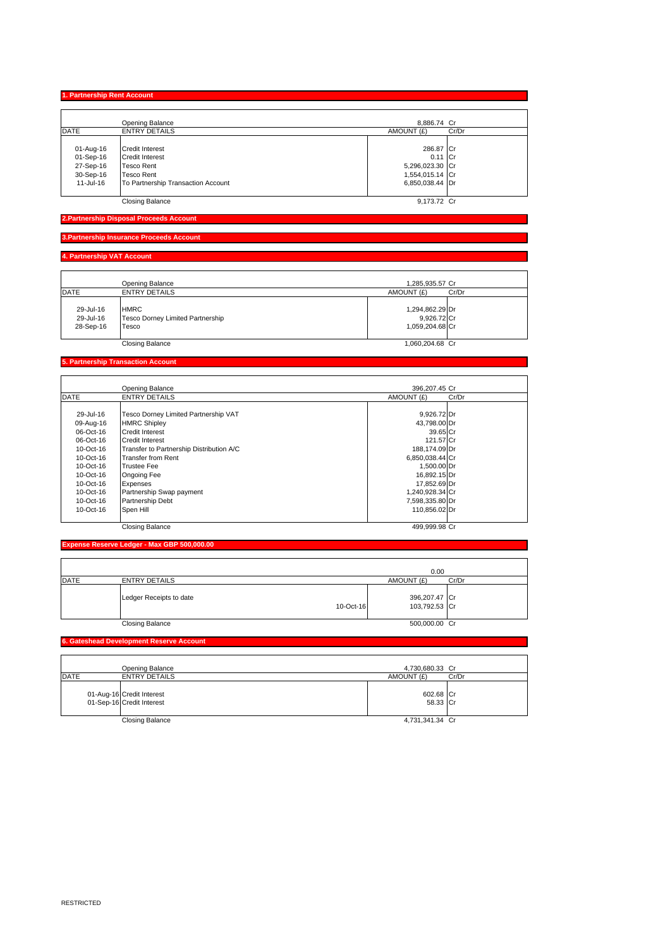**1. Partnership Rent Account**

|             | Opening Balance                    | 8,886.74 Cr         |
|-------------|------------------------------------|---------------------|
| <b>DATE</b> | <b>ENTRY DETAILS</b>               | AMOUNT (£)<br>Cr/Dr |
|             |                                    |                     |
| 01-Aug-16   | <b>Credit Interest</b>             | 286.87 Cr           |
| 01-Sep-16   | <b>Credit Interest</b>             | $0.11$ Cr           |
| 27-Sep-16   | <b>Tesco Rent</b>                  | 5,296,023.30 Cr     |
| 30-Sep-16   | <b>Tesco Rent</b>                  | 1,554,015.14 Cr     |
| 11-Jul-16   | To Partnership Transaction Account | 6,850,038.44 Dr     |
|             |                                    |                     |
|             | <b>Closing Balance</b>             | 9.173.72 Cr         |

#### **2.Partnership Disposal Proceeds Account**

**3.Partnership Insurance Proceeds Accou** 

## **4. Partnership VAT Account**

|                                     | Opening Balance                                                 | 1,285,935.57 Cr                                   |       |
|-------------------------------------|-----------------------------------------------------------------|---------------------------------------------------|-------|
| <b>DATE</b>                         | <b>ENTRY DETAILS</b>                                            | AMOUNT (£)                                        | Cr/Dr |
| 29-Jul-16<br>29-Jul-16<br>28-Sep-16 | <b>HMRC</b><br><b>Tesco Dorney Limited Partnership</b><br>Tesco | 1,294,862.29 Dr<br>9,926.72 Cr<br>1.059.204.68 Cr |       |
|                                     | <b>Closing Balance</b>                                          | 1,060,204.68 Cr                                   |       |

# **5. Partnership Transaction Account**

|             | Opening Balance                          | 396,207.45 Cr   |       |
|-------------|------------------------------------------|-----------------|-------|
| <b>DATE</b> | <b>ENTRY DETAILS</b>                     | AMOUNT (£)      | Cr/Dr |
|             |                                          |                 |       |
| 29-Jul-16   | Tesco Dorney Limited Partnership VAT     | 9,926.72 Dr     |       |
| 09-Aug-16   | <b>HMRC Shipley</b>                      | 43,798.00 Dr    |       |
| 06-Oct-16   | <b>Credit Interest</b>                   | 39.65 Cr        |       |
| 06-Oct-16   | <b>Credit Interest</b>                   | 121.57 Cr       |       |
| 10-Oct-16   | Transfer to Partnership Distribution A/C | 188,174.09 Dr   |       |
| 10-Oct-16   | Transfer from Rent                       | 6,850,038.44 Cr |       |
| 10-Oct-16   | <b>Trustee Fee</b>                       | 1,500.00 Dr     |       |
| 10-Oct-16   | Ongoing Fee                              | 16,892.15 Dr    |       |
| 10-Oct-16   | Expenses                                 | 17,852.69 Dr    |       |
| 10-Oct-16   | Partnership Swap payment                 | 1,240,928.34 Cr |       |
| 10-Oct-16   | Partnership Debt                         | 7,598,335.80 Dr |       |
| 10-Oct-16   | Spen Hill                                | 110,856.02 Dr   |       |
|             | <b>Closing Balance</b>                   | 499.999.98 Cr   |       |

## **Expense Reserve Ledger - Max GBP 500,000.00**

|      |                         |           | 0.00                           |       |
|------|-------------------------|-----------|--------------------------------|-------|
| DATE | <b>ENTRY DETAILS</b>    |           | AMOUNT (£)                     | Cr/Dr |
|      | Ledger Receipts to date | 10-Oct-16 | 396,207.47 Cr<br>103,792.53 Cr |       |
|      | <b>Closing Balance</b>  |           | 500,000.00 Cr                  |       |

## **6. Gateshead Development Reserve Account**

|             | Opening Balance                                        | 4,730,680.33 Cr       |       |
|-------------|--------------------------------------------------------|-----------------------|-------|
| <b>DATE</b> | <b>ENTRY DETAILS</b>                                   | AMOUNT (£)            | Cr/Dr |
|             | 01-Aug-16 Credit Interest<br>01-Sep-16 Credit Interest | 602.68 Cr<br>58.33 Cr |       |
|             | <b>Closing Balance</b>                                 | 4,731,341.34 Cr       |       |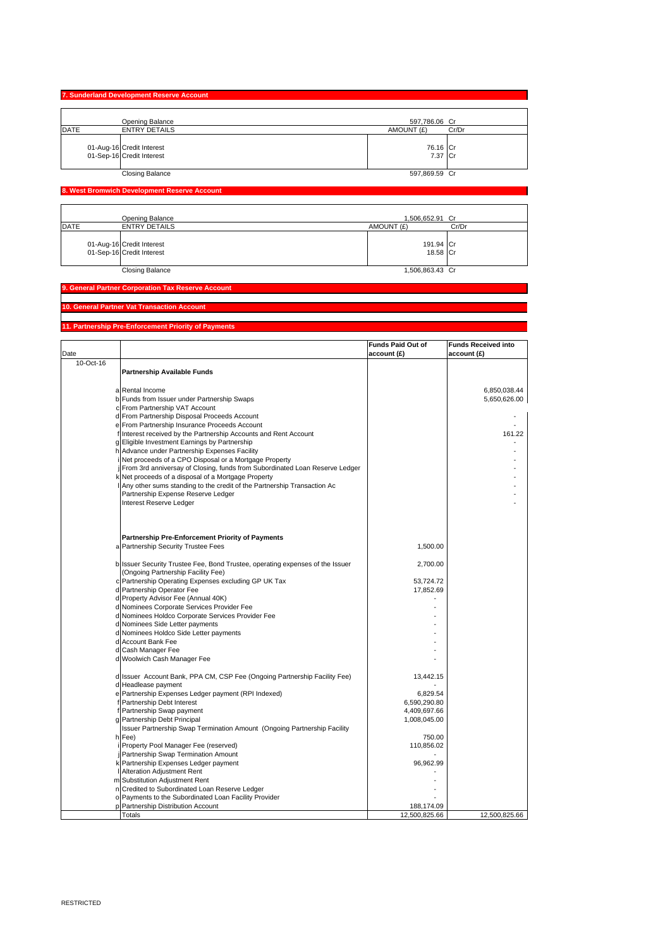|             | 7. Sunderland Development Reserve Account              |                     |       |
|-------------|--------------------------------------------------------|---------------------|-------|
|             |                                                        |                     |       |
|             | Opening Balance                                        | 597,786.06 Cr       |       |
| <b>DATE</b> | <b>ENTRY DETAILS</b>                                   | AMOUNT (£)          | Cr/Dr |
|             | 01-Aug-16 Credit Interest<br>01-Sep-16 Credit Interest | 76.16 Cr<br>7.37 Cr |       |
|             | <b>Closing Balance</b>                                 | 597,869.59 Cr       |       |

I,

## **8. West Bromwich Development Reserve Account**

|             | Opening Balance                                        | 1,506,652.91 Cr |           |
|-------------|--------------------------------------------------------|-----------------|-----------|
| <b>DATE</b> | <b>ENTRY DETAILS</b>                                   | AMOUNT (£)      | Cr/Dr     |
|             | 01-Aug-16 Credit Interest<br>01-Sep-16 Credit Interest |                 | 191.94 Cr |
|             |                                                        |                 | 18.58 Cr  |
|             | <b>Closing Balance</b>                                 | 1,506,863.43 Cr |           |

#### **9. General Partner Corporation Tax Reserve Account**

#### **10. General Partner Vat Transaction Account**

#### **11. Partnership Pre-Enforcement Priority of Payments**

|           |                                                                                                                                                                                                                                                     | <b>Funds Paid Out of</b>     | <b>Funds Received into</b>   |
|-----------|-----------------------------------------------------------------------------------------------------------------------------------------------------------------------------------------------------------------------------------------------------|------------------------------|------------------------------|
| Date      |                                                                                                                                                                                                                                                     | account (£)                  | account (£)                  |
| 10-Oct-16 | <b>Partnership Available Funds</b>                                                                                                                                                                                                                  |                              |                              |
|           | a Rental Income<br>b Funds from Issuer under Partnership Swaps<br>c From Partnership VAT Account                                                                                                                                                    |                              | 6,850,038.44<br>5,650,626.00 |
|           | d From Partnership Disposal Proceeds Account                                                                                                                                                                                                        |                              |                              |
|           | e From Partnership Insurance Proceeds Account<br>f Interest received by the Partnership Accounts and Rent Account                                                                                                                                   |                              | 161.22                       |
|           | g Eligible Investment Earnings by Partnership<br>h Advance under Partnership Expenses Facility<br>i Net proceeds of a CPO Disposal or a Mortgage Property                                                                                           |                              |                              |
|           | From 3rd anniversay of Closing, funds from Subordinated Loan Reserve Ledger<br>k Net proceeds of a disposal of a Mortgage Property<br>Any other sums standing to the credit of the Partnership Transaction Ac<br>Partnership Expense Reserve Ledger |                              |                              |
|           | Interest Reserve Ledger                                                                                                                                                                                                                             |                              |                              |
|           | <b>Partnership Pre-Enforcement Priority of Payments</b>                                                                                                                                                                                             |                              |                              |
|           | a Partnership Security Trustee Fees                                                                                                                                                                                                                 | 1,500.00                     |                              |
|           | b Issuer Security Trustee Fee, Bond Trustee, operating expenses of the Issuer<br>(Ongoing Partnership Facility Fee)                                                                                                                                 | 2,700.00                     |                              |
|           | c Partnership Operating Expenses excluding GP UK Tax<br>d Partnership Operator Fee                                                                                                                                                                  | 53,724.72<br>17,852.69       |                              |
|           | d Property Advisor Fee (Annual 40K)<br>d Nominees Corporate Services Provider Fee                                                                                                                                                                   |                              |                              |
|           | d Nominees Holdco Corporate Services Provider Fee<br>d Nominees Side Letter payments                                                                                                                                                                |                              |                              |
|           | d Nominees Holdco Side Letter payments                                                                                                                                                                                                              |                              |                              |
|           | d Account Bank Fee<br>d Cash Manager Fee                                                                                                                                                                                                            |                              |                              |
|           | d Woolwich Cash Manager Fee                                                                                                                                                                                                                         |                              |                              |
|           | d Issuer Account Bank, PPA CM, CSP Fee (Ongoing Partnership Facility Fee)                                                                                                                                                                           | 13,442.15                    |                              |
|           | d Headlease payment<br>e Partnership Expenses Ledger payment (RPI Indexed)                                                                                                                                                                          | 6,829.54                     |                              |
|           | f Partnership Debt Interest<br>f Partnership Swap payment                                                                                                                                                                                           | 6,590,290.80<br>4,409,697.66 |                              |
|           | g Partnership Debt Principal                                                                                                                                                                                                                        | 1,008,045.00                 |                              |
|           | Issuer Partnership Swap Termination Amount (Ongoing Partnership Facility<br>h Fee)                                                                                                                                                                  | 750.00                       |                              |
|           | i Property Pool Manager Fee (reserved)<br>j Partnership Swap Termination Amount                                                                                                                                                                     | 110,856.02                   |                              |
|           | k Partnership Expenses Ledger payment                                                                                                                                                                                                               | 96,962.99                    |                              |
|           | Alteration Adjustment Rent<br>m Substitution Adjustment Rent                                                                                                                                                                                        |                              |                              |
|           | n Credited to Subordinated Loan Reserve Ledger                                                                                                                                                                                                      |                              |                              |
|           | o Payments to the Subordinated Loan Facility Provider<br>p Partnership Distribution Account                                                                                                                                                         | 188,174.09                   |                              |
|           | Totals                                                                                                                                                                                                                                              | 12,500,825.66                | 12,500,825.66                |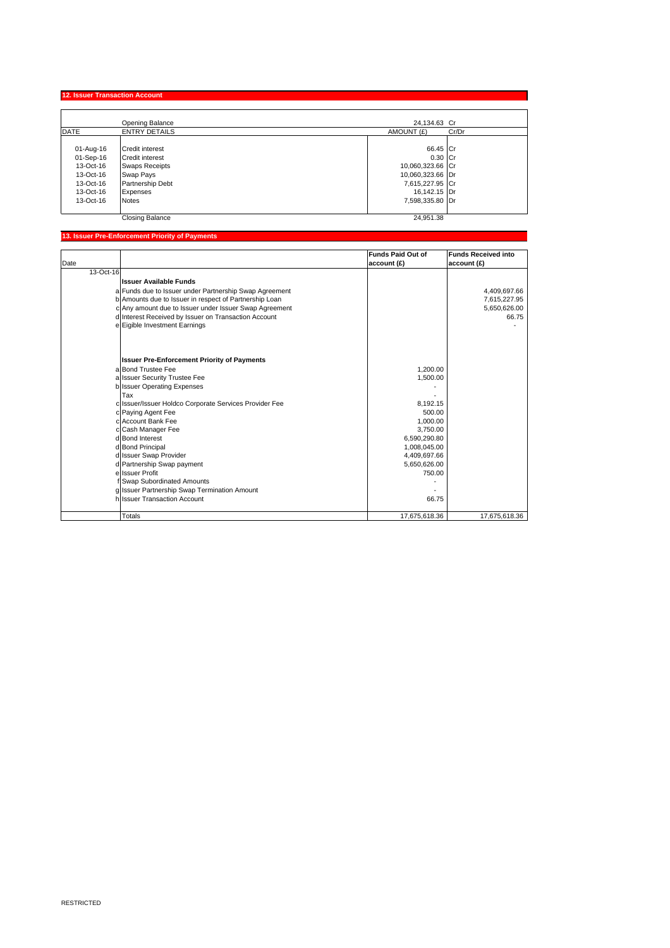**12. Issuer Transaction Account** 

|             | Opening Balance        | 24,134.63 Cr        |  |
|-------------|------------------------|---------------------|--|
| <b>DATE</b> | <b>ENTRY DETAILS</b>   | AMOUNT (£)<br>Cr/Dr |  |
|             |                        |                     |  |
| 01-Aug-16   | <b>Credit interest</b> | 66.45 Cr            |  |
| 01-Sep-16   | <b>Credit interest</b> | $0.30$ Cr           |  |
| 13-Oct-16   | <b>Swaps Receipts</b>  | 10,060,323.66 Cr    |  |
| 13-Oct-16   | Swap Pays              | 10,060,323.66 Dr    |  |
| 13-Oct-16   | Partnership Debt       | 7,615,227.95 Cr     |  |
| 13-Oct-16   | Expenses               | 16,142.15 Dr        |  |
| 13-Oct-16   | <b>Notes</b>           | 7,598,335.80 Dr     |  |
|             | <b>Closing Balance</b> | 24.951.38           |  |

# **13. Issuer Pre-Enforcement Priority of Payments**

|           |                                                        | <b>Funds Paid Out of</b> | <b>Funds Received into</b> |
|-----------|--------------------------------------------------------|--------------------------|----------------------------|
| Date      |                                                        | account (£)              | account (£)                |
| 13-Oct-16 |                                                        |                          |                            |
|           | <b>Issuer Available Funds</b>                          |                          |                            |
|           | a Funds due to Issuer under Partnership Swap Agreement |                          | 4,409,697.66               |
|           | b Amounts due to Issuer in respect of Partnership Loan |                          | 7,615,227.95               |
|           | c Any amount due to Issuer under Issuer Swap Agreement |                          | 5,650,626.00               |
|           | d Interest Received by Issuer on Transaction Account   |                          | 66.75                      |
|           | e Eigible Investment Earnings                          |                          |                            |
|           |                                                        |                          |                            |
|           | <b>Issuer Pre-Enforcement Priority of Payments</b>     |                          |                            |
|           | a Bond Trustee Fee                                     | 1,200.00                 |                            |
|           | a Issuer Security Trustee Fee                          | 1,500.00                 |                            |
|           | b Issuer Operating Expenses                            |                          |                            |
|           | Tax                                                    |                          |                            |
|           | c Issuer/Issuer Holdco Corporate Services Provider Fee | 8.192.15                 |                            |
|           | c Paying Agent Fee                                     | 500.00                   |                            |
|           | c Account Bank Fee                                     | 1,000.00                 |                            |
|           | c Cash Manager Fee                                     | 3.750.00                 |                            |
|           | d Bond Interest                                        | 6,590,290.80             |                            |
|           | d Bond Principal                                       | 1,008,045.00             |                            |
|           | d Issuer Swap Provider                                 | 4,409,697.66             |                            |
|           | d Partnership Swap payment                             | 5,650,626.00             |                            |
|           | e Issuer Profit                                        | 750.00                   |                            |
|           | Swap Subordinated Amounts                              |                          |                            |
|           | g Issuer Partnership Swap Termination Amount           |                          |                            |
|           | hussuer Transaction Account                            | 66.75                    |                            |
|           | Totals                                                 | 17,675,618.36            | 17,675,618.36              |